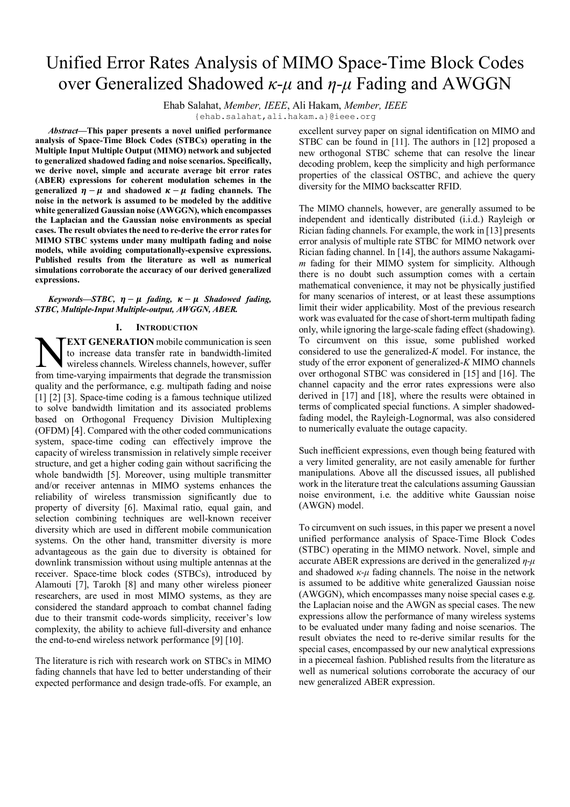# Unified Error Rates Analysis of MIMO Space-Time Block Codes over Generalized Shadowed *κ-μ* and *η-μ* Fading and AWGGN

Ehab Salahat, *Member, IEEE*, Ali Hakam, *Member, IEEE*

{ehab.salahat,ali.hakam.a}[@ieee.org](mailto:@ieee.org)

*Abstract***—This paper presents a novel unified performance analysis of Space-Time Block Codes (STBCs) operating in the Multiple Input Multiple Output (MIMO) network and subjected to generalized shadowed fading and noise scenarios. Specifically, we derive novel, simple and accurate average bit error rates (ABER) expressions for coherent modulation schemes in the generalized**  $\eta - \mu$  and shadowed  $\kappa - \mu$  fading channels. The **noise in the network is assumed to be modeled by the additive white generalized Gaussian noise (AWGGN), which encompasses the Laplacian and the Gaussian noise environments as special cases. The result obviates the need to re-derive the error ratesfor MIMO STBC systems under many multipath fading and noise models, while avoiding computationally-expensive expressions. Published results from the literature as well as numerical simulations corroborate the accuracy of our derived generalized expressions.**

*Keywords—STBC,*  $\eta - \mu$  *fading,*  $\kappa - \mu$  *Shadowed fading, STBC, Multiple-Input Multiple-output, AWGGN, ABER.*

## **I. INTRODUCTION**

**EXT GENERATION** mobile communication is seen to increase data transfer rate in bandwidth-limited wireless channels. Wireless channels, however, suffer **FEXT GENERATION** mobile communication is seen<br>to increase data transfer rate in bandwidth-limited<br>from time-varying impairments that degrade the transmission quality and the performance, e.g. multipath fading and noise [1] [2] [3]. Space-time coding is a famous technique utilized to solve bandwidth limitation and its associated problems based on Orthogonal Frequency Division Multiplexing (OFDM) [4]. Compared with the other coded communications system, space-time coding can effectively improve the capacity of wireless transmission in relatively simple receiver structure, and get a higher coding gain without sacrificing the whole bandwidth [5]. Moreover, using multiple transmitter and/or receiver antennas in MIMO systems enhances the reliability of wireless transmission significantly due to property of diversity [6]. Maximal ratio, equal gain, and selection combining techniques are well-known receiver diversity which are used in different mobile communication systems. On the other hand, transmitter diversity is more advantageous as the gain due to diversity is obtained for downlink transmission without using multiple antennas at the receiver. Space-time block codes (STBCs), introduced by Alamouti [7], Tarokh [8] and many other wireless pioneer researchers, are used in most MIMO systems, as they are considered the standard approach to combat channel fading due to their transmit code-words simplicity, receiver's low complexity, the ability to achieve full-diversity and enhance the end-to-end wireless network performance [9] [10].

The literature is rich with research work on STBCs in MIMO fading channels that have led to better understanding of their expected performance and design trade-offs. For example, an excellent survey paper on signal identification on MIMO and STBC can be found in [11]. The authors in [12] proposed a new orthogonal STBC scheme that can resolve the linear decoding problem, keep the simplicity and high performance properties of the classical OSTBC, and achieve the query diversity for the MIMO backscatter RFID.

The MIMO channels, however, are generally assumed to be independent and identically distributed (i.i.d.) Rayleigh or Rician fading channels. For example, the work in [13] presents error analysis of multiple rate STBC for MIMO network over Rician fading channel. In [14], the authors assume Nakagami*m* fading for their MIMO system for simplicity. Although there is no doubt such assumption comes with a certain mathematical convenience, it may not be physically justified for many scenarios of interest, or at least these assumptions limit their wider applicability. Most of the previous research work was evaluated for the case of short-term multipath fading only, while ignoring the large-scale fading effect (shadowing). To circumvent on this issue, some published worked considered to use the generalized-*K* model. For instance, the study of the error exponent of generalized-*K* MIMO channels over orthogonal STBC was considered in [15] and [16]. The channel capacity and the error rates expressions were also derived in [17] and [18], where the results were obtained in terms of complicated special functions. A simpler shadowedfading model, the Rayleigh-Lognormal, was also considered to numerically evaluate the outage capacity.

Such inefficient expressions, even though being featured with a very limited generality, are not easily amenable for further manipulations. Above all the discussed issues, all published work in the literature treat the calculations assuming Gaussian noise environment, i.e. the additive white Gaussian noise (AWGN) model.

To circumvent on such issues, in this paper we present a novel unified performance analysis of Space-Time Block Codes (STBC) operating in the MIMO network. Novel, simple and accurate ABER expressions are derived in the generalized *η-μ* and shadowed  $\kappa$ -*μ* fading channels. The noise in the network is assumed to be additive white generalized Gaussian noise (AWGGN), which encompasses many noise special cases e.g. the Laplacian noise and the AWGN as special cases. The new expressions allow the performance of many wireless systems to be evaluated under many fading and noise scenarios. The result obviates the need to re-derive similar results for the special cases, encompassed by our new analytical expressions in a piecemeal fashion. Published results from the literature as well as numerical solutions corroborate the accuracy of our new generalized ABER expression.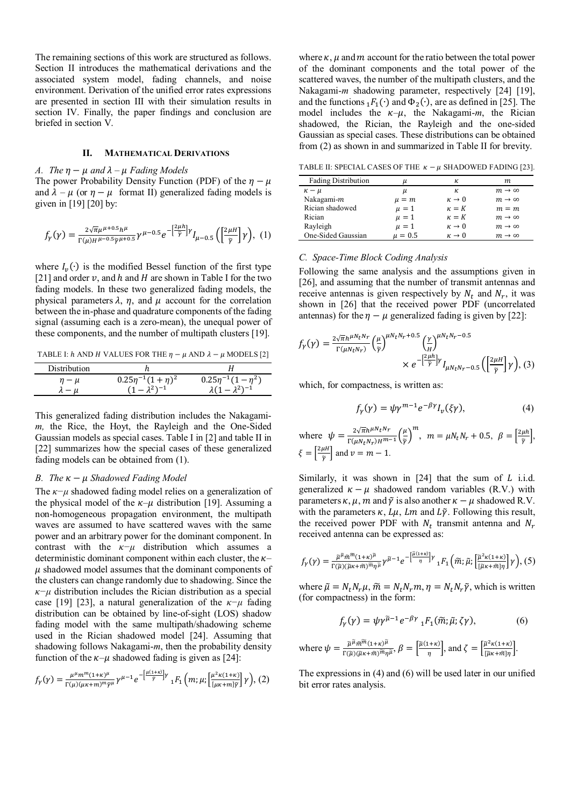The remaining sections of this work are structured as follows. Section II introduces the mathematical derivations and the associated system model, fading channels, and noise environment. Derivation of the unified error rates expressions are presented in section III with their simulation results in section IV. Finally, the paper findings and conclusion are briefed in section V.

# **II. MATHEMATICAL DERIVATIONS**

#### *A. The*  $\eta - \mu$  *and*  $\lambda - \mu$  *Fading Models*

The power Probability Density Function (PDF) of the  $\eta - \mu$ and  $\lambda - \mu$  (or  $\eta - \mu$  format II) generalized fading models is given in [19] [20] by:

$$
f_{\gamma}(\gamma) = \frac{2\sqrt{\pi}\mu^{\mu+0.5}h^{\mu}}{\Gamma(\mu)H^{\mu-0.5}\tilde{\gamma}^{\mu+0.5}}\gamma^{\mu-0.5}e^{-\left[\frac{2\mu h}{\tilde{\gamma}}\right]\gamma}I_{\mu-0.5}\left(\left[\frac{2\mu H}{\tilde{\gamma}}\right]\gamma\right), (1)
$$

where  $I_{\nu}(\cdot)$  is the modified Bessel function of the first type [21] and order  $\nu$ , and h and H are shown in Table I for the two fading models. In these two generalized fading models, the physical parameters  $\lambda$ ,  $\eta$ , and  $\mu$  account for the correlation between the in-phase and quadrature components of the fading signal (assuming each is a zero-mean), the unequal power of these components, and the number of multipath clusters [19].

TABLE I:  $h$  AND  $H$  VALUES FOR THE  $\eta - \mu$  AND  $\lambda - \mu$  MODELS [2]

| Distribution |                           |                           |
|--------------|---------------------------|---------------------------|
| $n - \mu$    | $0.25\eta^{-1}(1+\eta)^2$ | $0.25\eta^{-1}(1-\eta^2)$ |
|              | $-2^{2}$ $-1$             | $-2^{2}$ <sup>-1</sup>    |

This generalized fading distribution includes the Nakagami*m,* the Rice, the Hoyt, the Rayleigh and the One-Sided Gaussian models as special cases. Table I in [2] and table II in [22] summarizes how the special cases of these generalized fading models can be obtained from (1).

#### *B. The*  $\kappa - \mu$  *Shadowed Fading Model*

The *κ−μ* shadowed fading model relies on a generalization of the physical model of the  $\kappa-\mu$  distribution [19]. Assuming a non-homogeneous propagation environment, the multipath waves are assumed to have scattered waves with the same power and an arbitrary power for the dominant component. In contrast with the *κ−μ* distribution which assumes a deterministic dominant component within each cluster, the  $\kappa$ –  $\mu$  shadowed model assumes that the dominant components of the clusters can change randomly due to shadowing. Since the *κ−μ* distribution includes the Rician distribution as a special case [19] [23], a natural generalization of the *κ−μ* fading distribution can be obtained by line-of-sight (LOS) shadow fading model with the same multipath/shadowing scheme used in the Rician shadowed model [24]. Assuming that shadowing follows Nakagami-*m*, then the probability density function of the  $\kappa-\mu$  shadowed fading is given as [24]:

$$
f_{\gamma}(\gamma) = \frac{\mu^{\mu} m^{m} (1+\kappa)^{\mu}}{\Gamma(\mu)(\mu\kappa+m)^{m} \tilde{\gamma}^{\mu}} \gamma^{\mu-1} e^{-\left[\frac{\mu(1+\kappa)}{\tilde{\gamma}}\right] \gamma} {}_{1}F_{1}\left(m; \mu; \left[\frac{\mu^{2} \kappa(1+\kappa)}{[\mu\kappa+m]\tilde{\gamma}}\right] \gamma\right), (2)
$$

where  $\kappa$ ,  $\mu$  and  $m$  account for the ratio between the total power of the dominant components and the total power of the scattered waves, the number of the multipath clusters, and the Nakagami-*m* shadowing parameter, respectively [24] [19], and the functions  ${}_{1}F_{1}(\cdot)$  and  $\Phi_{2}(\cdot)$ , are as defined in [25]. The model includes the  $\kappa-\mu$ , the Nakagami-*m*, the Rician shadowed, the Rician, the Rayleigh and the one-sided Gaussian as special cases. These distributions can be obtained from (2) as shown in and summarized in Table II for brevity.

TABLE II: SPECIAL CASES OF THE  $\kappa - \mu$  SHADOWED FADING [23].

| <b>Fading Distribution</b> | и           | к              | m.                     |
|----------------------------|-------------|----------------|------------------------|
| $\kappa - \mu$             | μ           | к.             | $m \rightarrow \infty$ |
| Nakagami-m                 | $\mu = m$   | $\kappa \to 0$ | $m \rightarrow \infty$ |
| Rician shadowed            | $\mu = 1$   | $\kappa = K$   | $m = m$                |
| Rician                     | $\mu = 1$   | $\kappa = K$   | $m \rightarrow \infty$ |
| Rayleigh                   | $\mu = 1$   | $\kappa \to 0$ | $m \rightarrow \infty$ |
| One-Sided Gaussian         | $\mu = 0.5$ | $\kappa \to 0$ | $m \rightarrow \infty$ |

*C. Space-Time Block Coding Analysis*

Following the same analysis and the assumptions given in [26], and assuming that the number of transmit antennas and receive antennas is given respectively by  $N_t$  and  $N_r$ , it was shown in [26] that the received power PDF (uncorrelated antennas) for the  $\eta - \mu$  generalized fading is given by [22]:

$$
f_{\gamma}(\gamma) = \frac{2\sqrt{\pi}h^{\mu}N_{t}N_{r}}{\Gamma(\mu N_{t}N_{r})} \left(\frac{\mu}{\tilde{\gamma}}\right)^{\mu}N_{t}N_{r}+0.5 \left(\frac{\gamma}{H}\right)^{\mu}N_{t}N_{r}-0.5}
$$

$$
\times e^{-\left[\frac{2\mu h}{\tilde{\gamma}}\right]\gamma} I_{\mu N_{t}N_{r}-0.5} \left(\left[\frac{2\mu H}{\tilde{\gamma}}\right]\gamma\right), (3)
$$

which, for compactness, is written as:

$$
f_{\gamma}(\gamma) = \psi \gamma^{m-1} e^{-\beta \gamma} I_{\nu}(\xi \gamma), \tag{4}
$$

where  $\psi = \frac{2\sqrt{\pi}h^{\mu N}t^{N}r}{\Gamma(\mu N - N)H}$  $\frac{2\sqrt{\pi}h^{\mu N}t^{N}r}{\Gamma(\mu N_tN_r)H^{m-1}}\bigg(\frac{\mu}{\widetilde{\gamma}}$  $\left(\frac{\mu}{\tilde{\gamma}}\right)^m$ ,  $m = \mu N_t N_r + 0.5$ ,  $\beta = \left[\frac{2\mu h}{\tilde{\gamma}}\right]$  $\frac{\mu n}{\widetilde{\gamma}}$ ,  $\xi = \left[\frac{2\mu H}{\gamma}\right]$  $\left[\frac{\mu n}{\tilde{\gamma}}\right]$  and  $\nu = m - 1$ .

Similarly, it was shown in  $[24]$  that the sum of L i.i.d. generalized  $\kappa - \mu$  shadowed random variables (R.V.) with parameters  $\kappa$ ,  $\mu$ ,  $m$  and  $\tilde{\gamma}$  is also another  $\kappa - \mu$  shadowed R.V. with the parameters  $\kappa$ ,  $L\mu$ ,  $Lm$  and  $L\tilde{\gamma}$ . Following this result, the received power PDF with  $N_t$  transmit antenna and  $N_r$ received antenna can be expressed as:

$$
f_{\gamma}(\gamma) = \frac{\tilde{\mu}^{\tilde{\mu}} \tilde{m}^{\tilde{\mu}} (1+\kappa)^{\tilde{\mu}}}{\Gamma(\tilde{\mu})(\tilde{\mu}\kappa + \tilde{m})^{\tilde{m}} \eta^{\tilde{\mu}}} \gamma^{\tilde{\mu}-1} e^{-\left[\frac{\tilde{\mu}(1+\kappa)}{\eta}\right] \gamma} {}_{1}F_{1}\left(\tilde{m};\tilde{\mu};\left[\frac{\tilde{\mu}^{2}\kappa(1+\kappa)}{[\tilde{\mu}\kappa + \tilde{m}]\eta}\right] \gamma\right), (5)
$$

where  $\tilde{\mu} = N_t N_r \mu$ ,  $\tilde{m} = N_t N_r m$ ,  $\eta = N_t N_r \tilde{\gamma}$ , which is written (for compactness) in the form:

$$
f_{\gamma}(\gamma) = \psi \gamma^{\tilde{\mu}-1} e^{-\beta \gamma} {}_{1}F_{1}(\tilde{m}; \tilde{\mu}; \zeta \gamma), \tag{6}
$$

where 
$$
\psi = \frac{\tilde{\mu}^{\tilde{\mu}}\tilde{m}^{\tilde{m}}(1+\kappa)^{\tilde{\mu}}}{\Gamma(\tilde{\mu})(\tilde{\mu}\kappa+\tilde{m})^{\tilde{m}}\eta^{\tilde{\mu}}}, \beta = \left[\frac{\tilde{\mu}(1+\kappa)}{\eta}\right]
$$
, and  $\zeta = \left[\frac{\tilde{\mu}^2\kappa(1+\kappa)}{[\tilde{\mu}\kappa+\tilde{m}]\eta}\right]$ .

The expressions in (4) and (6) will be used later in our unified bit error rates analysis.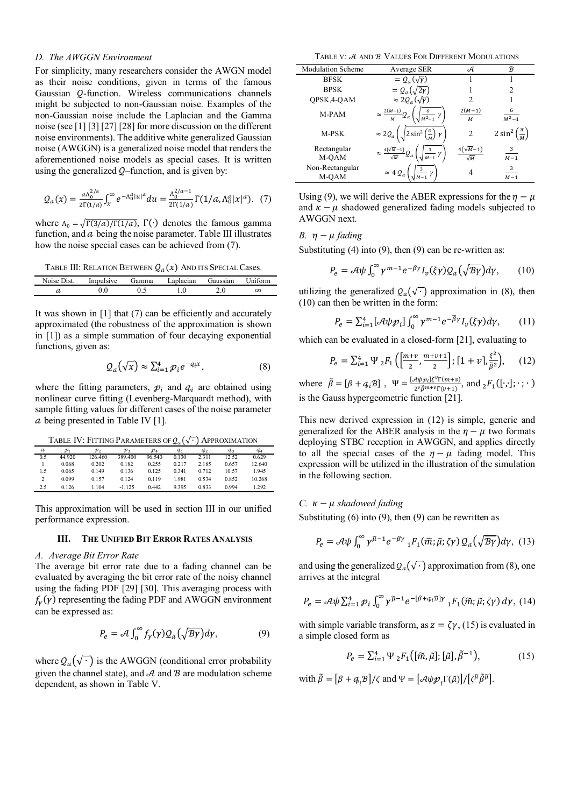## *D. The AWGGN Environment*

For simplicity, many researchers consider the AWGN model as their noise conditions, given in terms of the famous Gaussian Q-function. Wireless communications channels might be subjected to non-Gaussian noise. Examples of the non-Gaussian noise include the Laplacian and the Gamma noise (see [1] [3] [27] [28] for more discussion on the different noise environments). The additive white generalized Gaussian noise (AWGGN) is a generalized noise model that renders the aforementioned noise models as special cases. It is written using the generalized  $Q$ –function, and is given by:

$$
Q_a(x) = \frac{a \Lambda_0^{2/a}}{2\Gamma(1/a)} \int_x^{\infty} e^{-\Lambda_0^a |u|^a} du = \frac{\Lambda_0^{2/a - 1}}{2\Gamma(1/a)} \Gamma(1/a, \Lambda_0^a |x|^a). \tag{7}
$$

where  $\Lambda_0 = \sqrt{\Gamma(3/a)/\Gamma(1/a)}$ ,  $\Gamma(\cdot)$  denotes the famous gamma function, and  $a$  being the noise parameter. Table III illustrates how the noise special cases can be achieved from (7).

TABLE III: RELATION BETWEEN  $Q_a(x)$  And its Special Cases.

| Noise Dist. | Impulsive | Gamma | Laplacian | Gaussian | Uniform  |
|-------------|-----------|-------|-----------|----------|----------|
|             |           |       |           | 2.0      | $\infty$ |
|             |           |       |           |          |          |

It was shown in  $[1]$  that  $(7)$  can be efficiently and accurately approximated (the robustness of the approximation is shown in [1]) as a simple summation of four decaying exponential functions, given as:

$$
Q_a(\sqrt{x}) \approx \sum_{i=1}^4 p_i e^{-q_i x}, \qquad (8)
$$

where the fitting parameters,  $p_i$  and  $q_i$  are obtained using nonlinear curve fitting (Levenberg-Marquardt method), with sample fitting values for different cases of the noise parameter  $\alpha$  being presented in Table IV [1].

TABLE  $\operatorname{IV:}$  Fitting Parameters of  $\mathcal{Q}_{a}(\sqrt{\cdot})$  Approximation

| a   | $\mathcal{D}_1$ | $\mathcal{D}_2$ | $\mathcal{P}_3$ | $\mathcal{P}_4$ | $q_{1}$ | $q_{2}$ | $q_{3}$ | $q_{4}$ |
|-----|-----------------|-----------------|-----------------|-----------------|---------|---------|---------|---------|
| 0.5 | 44 920          | 126.460         | 389 400         | 96.540          | 0.130   | 2.311   | 12.52   | 0.629   |
|     | 0.068           | 0.202           | 0.182           | 0.255           | 0.217   | 2.185   | 0.657   | 12.640  |
| 1.5 | 0.065           | 0.149           | 0.136           | 0.125           | 0 3 4 1 | 0.712   | 10.57   | 1945    |
| 2   | 0.099           | 0.157           | 0.124           | 0 1 1 9         | 1981    | 0.534   | 0.852   | 10.268  |
| 2.5 | 0.126           | 1.104           | $-1.125$        | 0.442           | 9.395   | 0.833   | 0994    | 1.292   |

This approximation will be used in section III in our unified performance expression.

# **III. THE UNIFIED BIT ERROR RATES ANALYSIS**

## *A. Average Bit Error Rate*

The average bit error rate due to a fading channel can be evaluated by averaging the bit error rate of the noisy channel using the fading PDF [29] [30]. This averaging process with  $f_{\gamma}(\gamma)$  representing the fading PDF and AWGGN environment can be expressed as:

$$
P_e = \mathcal{A} \int_0^\infty f_\gamma(\gamma) \mathcal{Q}_a(\sqrt{\mathcal{B}\gamma}) d\gamma, \tag{9}
$$

where  $Q_a(\sqrt{\cdot})$  is the AWGGN (conditional error probability given the channel state), and  $A$  and  $B$  are modulation scheme dependent, as shown in Table V.

TABLE V: A AND **B** VALUES FOR DIFFERENT MODULATIONS

| <b>Modulation Scheme</b> | Average SER                                                    | А                             | B              |
|--------------------------|----------------------------------------------------------------|-------------------------------|----------------|
| <b>BFSK</b>              | $=Q_a(\sqrt{\gamma})$                                          |                               |                |
| <b>BPSK</b>              | $=Q_a(\sqrt{2}\gamma)$                                         |                               | $\mathfrak{D}$ |
| QPSK, 4-QAM              | $\approx 2Q_a(\sqrt{\gamma})$                                  | 2                             |                |
| M-PAM                    | $\approx \frac{2(M-1)}{2}$                                     | $2(M-1)$<br>M                 | 6<br>$M^2 - 1$ |
| M-PSK                    | $2 \sin^2$<br>$\approx 2Q_a$                                   | $\mathfrak{D}$                | $2 \sin^2$     |
| Rectangular<br>M-QAM     | $\approx \frac{4(\sqrt{M}-1)}{2}$<br>$\sum_{i \ M=1} \gamma$ ) | $4(\sqrt{M-1})$<br>$\sqrt{M}$ | 3<br>$M-1$     |
| Non-Rectangular<br>M-OAM | $\approx$ 4 $Q_a$                                              | 4                             | 3<br>$M-1$     |

Using (9), we will derive the ABER expressions for the  $\eta - \mu$ and  $\kappa - \mu$  shadowed generalized fading models subjected to AWGGN next.

# *B*.  $\eta - \mu$  *fading*

Substituting  $(4)$  into  $(9)$ , then  $(9)$  can be re-written as:

$$
P_e = \mathcal{A}\psi \int_0^\infty \gamma^{m-1} e^{-\beta \gamma} I_\nu(\xi \gamma) \mathcal{Q}_a(\sqrt{\mathcal{B}\gamma}) d\gamma, \qquad (10)
$$

utilizing the generalized  $Q_a(\sqrt{\cdot})$  approximation in (8), then (10) can then be written in the form:

$$
P_e = \sum_{i=1}^4 \left[ \mathcal{A}\psi \mathcal{P}_i \right] \int_0^\infty \gamma^{m-1} e^{-\tilde{\beta}\gamma} I_\nu(\xi\gamma) d\gamma, \qquad (11)
$$

which can be evaluated in a closed-form [21], evaluating to

$$
P_e = \sum_{i=1}^4 \Psi_2 F_1 \left( \left[ \frac{m+v}{2}, \frac{m+v+1}{2} \right]; \left[ 1+v \right], \frac{\xi^2}{\tilde{\beta}^2} \right), \quad (12)
$$

where  $\tilde{\beta} = [\beta + q_i \beta]$ ,  $\Psi = \frac{[\mathcal{A} \psi \mathcal{P}_i] \xi^{\nu} \Gamma(m+v)}{2 \nu \tilde{\beta} m + \nu \Gamma(m+1)}$  $\frac{\partial \mu_{\mathcal{P}}(i)}{\partial \mathcal{P}} = \frac{\partial \mu_{\mathcal{P}}(i)}{\partial \mathcal{P}}$  and  $\frac{1}{2}F_1([\cdot,\cdot];\cdot;\cdot)$ is the Gauss hypergeometric function [21].

This new derived expression in (12) is simple, generic and generalized for the ABER analysis in the  $\eta - \mu$  two formats deploying STBC reception in AWGGN, and applies directly to all the special cases of the  $\eta - \mu$  fading model. This expression will be utilized in the illustration of the simulation in the following section.

#### *C.*  $\kappa - \mu$  *shadowed fading*

Substituting  $(6)$  into  $(9)$ , then  $(9)$  can be rewritten as

$$
P_e = \mathcal{A}\psi \int_0^\infty \gamma^{\tilde{\mu}-1} e^{-\beta \gamma} {}_1F_1(\tilde{m}; \tilde{\mu}; \zeta \gamma) \mathcal{Q}_a(\sqrt{\mathcal{B}\gamma}) d\gamma, \tag{13}
$$

and using the generalized  $Q_a(\sqrt{\cdot})$  approximation from (8), one arrives at the integral

$$
P_e = \mathcal{A}\psi \sum_{i=1}^4 \mathcal{P}_i \int_0^\infty \gamma^{\widetilde{\mu}-1} e^{-[\beta + q_i \widetilde{\beta}] \gamma} {}_1F_1(\widetilde{m}; \widetilde{\mu}; \zeta \gamma) d\gamma, \tag{14}
$$

with simple variable transform, as  $z = \zeta \gamma$ , (15) is evaluated in a simple closed form as

$$
P_e = \sum_{i=1}^4 \Psi_2 F_1\left( [\tilde{m}, \tilde{\mu}]; [\tilde{\mu}], \tilde{\beta}^{-1} \right),\tag{15}
$$

with  $\tilde{\beta} = [\beta + a_i \beta]/\zeta$  and  $\Psi = [\mathcal{A} \psi \mathcal{D}_i \Gamma(\tilde{\mu})]/[\zeta^{\tilde{\mu}} \tilde{\beta}^{\tilde{\mu}}]$ .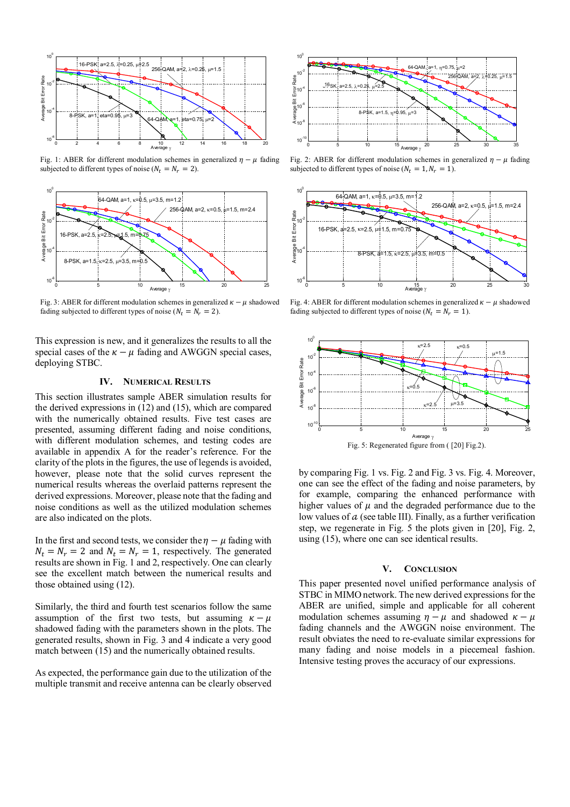

Fig. 1: ABER for different modulation schemes in generalized  $\eta - \mu$  fading subjected to different types of noise ( $N_t = N_r = 2$ ).



Fig. 3: ABER for different modulation schemes in generalized  $\kappa - \mu$  shadowed fading subjected to different types of noise ( $N_t = N_r = 2$ ).

This expression is new, and it generalizes the results to all the special cases of the  $\kappa - \mu$  fading and AWGGN special cases, deploying STBC.

# **IV. NUMERICAL RESULTS**

This section illustrates sample ABER simulation results for the derived expressions in (12) and (15), which are compared with the numerically obtained results. Five test cases are presented, assuming different fading and noise conditions, with different modulation schemes, and testing codes are available in appendix A for the reader's reference. For the clarity of the plots in the figures, the use of legends is avoided, however, please note that the solid curves represent the numerical results whereas the overlaid patterns represent the derived expressions. Moreover, please note that the fading and noise conditions as well as the utilized modulation schemes are also indicated on the plots.

In the first and second tests, we consider the  $\eta - \mu$  fading with  $N_t = N_r = 2$  and  $N_t = N_r = 1$ , respectively. The generated results are shown in Fig. 1 and 2, respectively. One can clearly see the excellent match between the numerical results and those obtained using (12).

Similarly, the third and fourth test scenarios follow the same assumption of the first two tests, but assuming  $\kappa - \mu$ shadowed fading with the parameters shown in the plots. The generated results, shown in Fig. 3 and 4 indicate a very good match between (15) and the numerically obtained results.

As expected, the performance gain due to the utilization of the multiple transmit and receive antenna can be clearly observed



Fig. 2: ABER for different modulation schemes in generalized  $\eta - \mu$  fading subjected to different types of noise ( $N_t = 1, N_r = 1$ ).



Fig. 4: ABER for different modulation schemes in generalized  $\kappa - \mu$  shadowed fading subjected to different types of noise ( $N_t = N_r = 1$ ).



by comparing Fig. 1 vs. Fig. 2 and Fig. 3 vs. Fig. 4. Moreover, one can see the effect of the fading and noise parameters, by for example, comparing the enhanced performance with higher values of  $\mu$  and the degraded performance due to the low values of  $a$  (see table III). Finally, as a further verification step, we regenerate in Fig. 5 the plots given in [20], Fig. 2, using (15), where one can see identical results.

#### **V. CONCLUSION**

This paper presented novel unified performance analysis of STBC in MIMO network. The new derived expressions for the ABER are unified, simple and applicable for all coherent modulation schemes assuming  $\eta - \mu$  and shadowed  $\kappa - \mu$ fading channels and the AWGGN noise environment. The result obviates the need to re-evaluate similar expressions for many fading and noise models in a piecemeal fashion. Intensive testing proves the accuracy of our expressions.